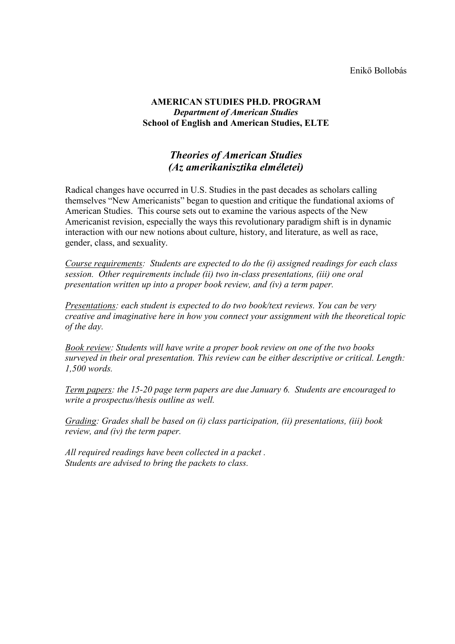#### Enikő Bollobás

## **AMERICAN STUDIES PH.D. PROGRAM** *Department of American Studies* **School of English and American Studies, ELTE**

## *Theories of American Studies (Az amerikanisztika elméletei)*

Radical changes have occurred in U.S. Studies in the past decades as scholars calling themselves "New Americanists" began to question and critique the fundational axioms of American Studies. This course sets out to examine the various aspects of the New Americanist revision, especially the ways this revolutionary paradigm shift is in dynamic interaction with our new notions about culture, history, and literature, as well as race, gender, class, and sexuality.

*Course requirements: Students are expected to do the (i) assigned readings for each class session. Other requirements include (ii) two in-class presentations, (iii) one oral presentation written up into a proper book review, and (iv) a term paper.* 

*Presentations: each student is expected to do two book/text reviews. You can be very creative and imaginative here in how you connect your assignment with the theoretical topic of the day.* 

*Book review: Students will have write a proper book review on one of the two books surveyed in their oral presentation. This review can be either descriptive or critical. Length: 1,500 words.*

*Term papers: the 15-20 page term papers are due January 6. Students are encouraged to write a prospectus/thesis outline as well.*

*Grading: Grades shall be based on (i) class participation, (ii) presentations, (iii) book review, and (iv) the term paper.* 

*All required readings have been collected in a packet . Students are advised to bring the packets to class.*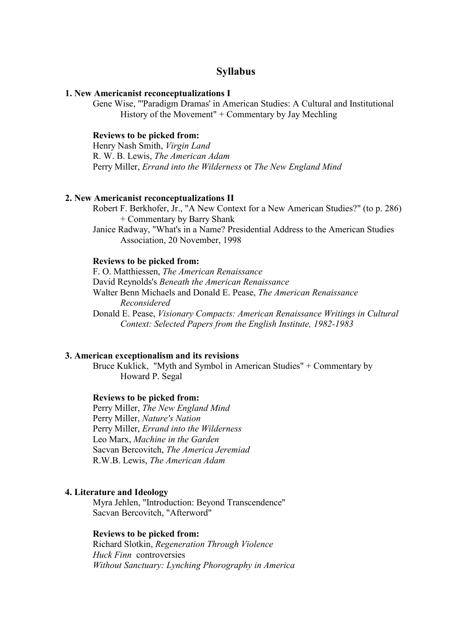## **Syllabus**

#### **1. New Americanist reconceptualizations I**

Gene Wise, "'Paradigm Dramas' in American Studies: A Cultural and Institutional History of the Movement" + Commentary by Jay Mechling

#### **Reviews to be picked from:**

Henry Nash Smith, *Virgin Land* R. W. B. Lewis, *The American Adam* Perry Miller, *Errand into the Wilderness* or *The New England Mind*

#### **2. New Americanist reconceptualizations II**

Robert F. Berkhofer, Jr., "A New Context for a New American Studies?" (to p. 286) + Commentary by Barry Shank

Janice Radway, "What's in a Name? Presidential Address to the American Studies Association, 20 November, 1998

#### **Reviews to be picked from:**

F. O. Matthiessen, *The American Renaissance* David Reynolds's *Beneath the American Renaissance* Walter Benn Michaels and Donald E. Pease, *The American Renaissance Reconsidered* Donald E. Pease, *Visionary Compacts: American Renaissance Writings in Cultural Context: Selected Papers from the English Institute, 1982-1983*

#### **3. American exceptionalism and its revisions**

Bruce Kuklick, "Myth and Symbol in American Studies" + Commentary by Howard P. Segal

#### **Reviews to be picked from:**

Perry Miller, *The New England Mind* Perry Miller, *Nature's Nation* Perry Miller, *Errand into the Wilderness* Leo Marx, *Machine in the Garden* Sacvan Bercovitch, *The America Jeremiad* R.W.B. Lewis, *The American Adam*

#### **4. Literature and Ideology**

Myra Jehlen, "Introduction: Beyond Transcendence" Sacvan Bercovitch, "Afterword"

#### **Reviews to be picked from:**

Richard Slotkin, *Regeneration Through Violence Huck Finn* controversies *Without Sanctuary: Lynching Phorography in America*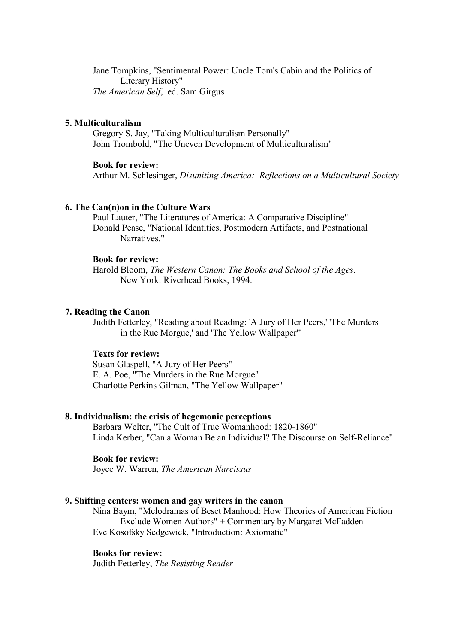Jane Tompkins, "Sentimental Power: Uncle Tom's Cabin and the Politics of Literary History" *The American Self*, ed. Sam Girgus

#### **5. Multiculturalism**

Gregory S. Jay, "Taking Multiculturalism Personally" John Trombold, "The Uneven Development of Multiculturalism"

#### **Book for review:**

Arthur M. Schlesinger, *Disuniting America: Reflections on a Multicultural Society*

#### **6. The Can(n)on in the Culture Wars**

Paul Lauter, "The Literatures of America: A Comparative Discipline" Donald Pease, "National Identities, Postmodern Artifacts, and Postnational Narratives."

#### **Book for review:**

Harold Bloom, *The Western Canon: The Books and School of the Ages*. New York: Riverhead Books, 1994.

#### **7. Reading the Canon**

Judith Fetterley, "Reading about Reading: 'A Jury of Her Peers,' 'The Murders in the Rue Morgue,' and 'The Yellow Wallpaper'"

#### **Texts for review:**

Susan Glaspell, "A Jury of Her Peers" E. A. Poe, "The Murders in the Rue Morgue" Charlotte Perkins Gilman, "The Yellow Wallpaper"

#### **8. Individualism: the crisis of hegemonic perceptions**

Barbara Welter, "The Cult of True Womanhood: 1820-1860" Linda Kerber, "Can a Woman Be an Individual? The Discourse on Self-Reliance"

#### **Book for review:**

Joyce W. Warren, *The American Narcissus*

#### **9. Shifting centers: women and gay writers in the canon**

Nina Baym, "Melodramas of Beset Manhood: How Theories of American Fiction Exclude Women Authors" + Commentary by Margaret McFadden Eve Kosofsky Sedgewick, "Introduction: Axiomatic"

#### **Books for review:**

Judith Fetterley, *The Resisting Reader*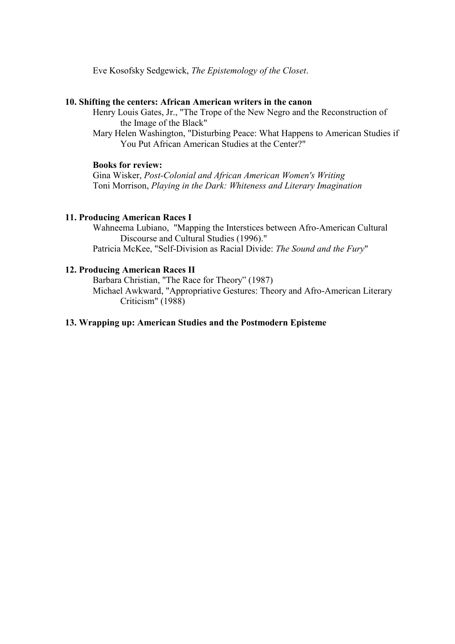Eve Kosofsky Sedgewick, *The Epistemology of the Closet*.

#### **10. Shifting the centers: African American writers in the canon**

Henry Louis Gates, Jr., "The Trope of the New Negro and the Reconstruction of the Image of the Black"

Mary Helen Washington, "Disturbing Peace: What Happens to American Studies if You Put African American Studies at the Center?"

#### **Books for review:**

Gina Wisker, *Post-Colonial and African American Women's Writing* Toni Morrison, *Playing in the Dark: Whiteness and Literary Imagination*

#### **11. Producing American Races I**

Wahneema Lubiano, "Mapping the Interstices between Afro-American Cultural Discourse and Cultural Studies (1996)." Patricia McKee, "Self-Division as Racial Divide: *The Sound and the Fury*"

## **12. Producing American Races II**

Barbara Christian, "The Race for Theory" (1987) Michael Awkward, "Appropriative Gestures: Theory and Afro-American Literary Criticism" (1988)

### **13. Wrapping up: American Studies and the Postmodern Episteme**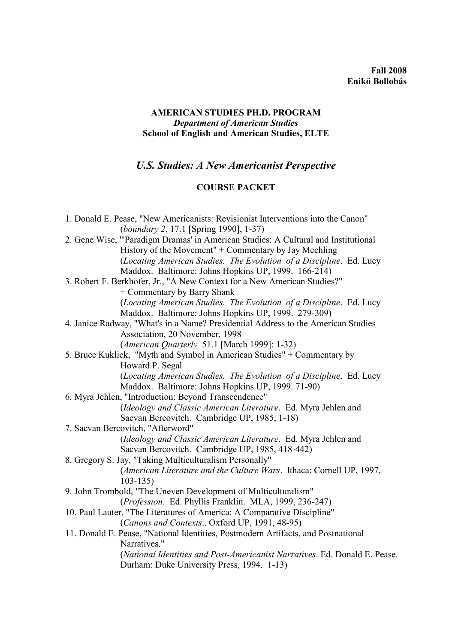## **Fall 2008 Enikő Bollobás**

## **AMERICAN STUDIES PH.D. PROGRAM** *Department of American Studies* **School of English and American Studies, ELTE**

# *U.S. Studies: A New Americanist Perspective*

# **COURSE PACKET**

| 1. Donald E. Pease, "New Americanists: Revisionist Interventions into the Canon"   |
|------------------------------------------------------------------------------------|
| <i>(boundary 2, 17.1 [Spring 1990], 1-37)</i>                                      |
| 2. Gene Wise, "'Paradigm Dramas' in American Studies: A Cultural and Institutional |
| History of the Movement" + Commentary by Jay Mechling                              |
| (Locating American Studies. The Evolution of a Discipline. Ed. Lucy                |
| Maddox. Baltimore: Johns Hopkins UP, 1999. 166-214)                                |
| 3. Robert F. Berkhofer, Jr., "A New Context for a New American Studies?"           |
| + Commentary by Barry Shank                                                        |
| (Locating American Studies. The Evolution of a Discipline. Ed. Lucy                |
| Maddox. Baltimore: Johns Hopkins UP, 1999. 279-309)                                |
| 4. Janice Radway, "What's in a Name? Presidential Address to the American Studies  |
| Association, 20 November, 1998                                                     |
| (American Quarterly 51.1 [March 1999]: 1-32)                                       |
| 5. Bruce Kuklick, "Myth and Symbol in American Studies" + Commentary by            |
| Howard P. Segal                                                                    |
| (Locating American Studies. The Evolution of a Discipline. Ed. Lucy                |
| Maddox. Baltimore: Johns Hopkins UP, 1999. 71-90)                                  |
| 6. Myra Jehlen, "Introduction: Beyond Transcendence"                               |
| (Ideology and Classic American Literature. Ed. Myra Jehlen and                     |
| Sacvan Bercovitch. Cambridge UP, 1985, 1-18)                                       |
| 7. Sacvan Bercovitch, "Afterword"                                                  |
| (Ideology and Classic American Literature. Ed. Myra Jehlen and                     |
| Sacvan Bercovitch. Cambridge UP, 1985, 418-442)                                    |
| 8. Gregory S. Jay, "Taking Multiculturalism Personally"                            |
| (American Literature and the Culture Wars. Ithaca: Cornell UP, 1997,               |
| $103 - 135$                                                                        |
| 9. John Trombold, "The Uneven Development of Multiculturalism"                     |
| (Profession. Ed. Phyllis Franklin. MLA, 1999, 236-247)                             |
| 10. Paul Lauter, "The Literatures of America: A Comparative Discipline"            |
| (Canons and Contexts Oxford UP, 1991, 48-95)                                       |
| 11. Donald E. Pease, "National Identities, Postmodern Artifacts, and Postnational  |
| Narratives."                                                                       |
| (National Identities and Post-Americanist Narratives. Ed. Donald E. Pease.         |
| Durham: Duke University Press, 1994. 1-13)                                         |